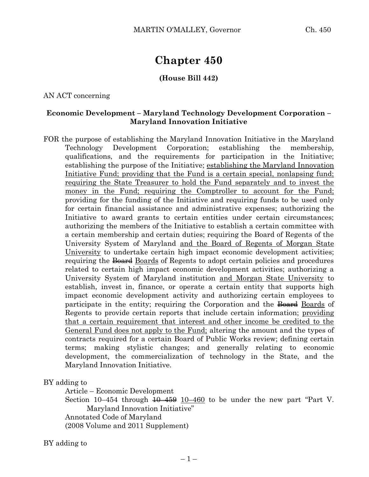# **Chapter 450**

## **(House Bill 442)**

AN ACT concerning

### **Economic Development – Maryland Technology Development Corporation – Maryland Innovation Initiative**

FOR the purpose of establishing the Maryland Innovation Initiative in the Maryland Technology Development Corporation; establishing the membership, qualifications, and the requirements for participation in the Initiative; establishing the purpose of the Initiative; establishing the Maryland Innovation Initiative Fund; providing that the Fund is a certain special, nonlapsing fund; requiring the State Treasurer to hold the Fund separately and to invest the money in the Fund; requiring the Comptroller to account for the Fund; providing for the funding of the Initiative and requiring funds to be used only for certain financial assistance and administrative expenses; authorizing the Initiative to award grants to certain entities under certain circumstances; authorizing the members of the Initiative to establish a certain committee with a certain membership and certain duties; requiring the Board of Regents of the University System of Maryland and the Board of Regents of Morgan State University to undertake certain high impact economic development activities; requiring the <del>Board</del> Boards of Regents to adopt certain policies and procedures related to certain high impact economic development activities; authorizing a University System of Maryland institution and Morgan State University to establish, invest in, finance, or operate a certain entity that supports high impact economic development activity and authorizing certain employees to participate in the entity; requiring the Corporation and the Board Boards of Regents to provide certain reports that include certain information; providing that a certain requirement that interest and other income be credited to the General Fund does not apply to the Fund; altering the amount and the types of contracts required for a certain Board of Public Works review; defining certain terms; making stylistic changes; and generally relating to economic development, the commercialization of technology in the State, and the Maryland Innovation Initiative.

BY adding to

Article – Economic Development

Section 10–454 through  $\frac{10-459}{10-460}$  to be under the new part "Part V. Maryland Innovation Initiative"

Annotated Code of Maryland

(2008 Volume and 2011 Supplement)

BY adding to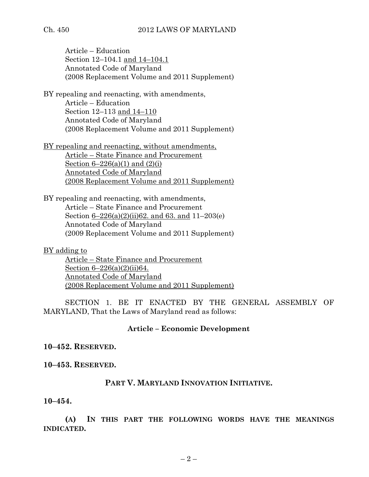Article – Education Section 12–104.1 and 14–104.1 Annotated Code of Maryland (2008 Replacement Volume and 2011 Supplement)

BY repealing and reenacting, with amendments, Article – Education Section 12–113 and 14–110 Annotated Code of Maryland (2008 Replacement Volume and 2011 Supplement)

BY repealing and reenacting, without amendments, Article – State Finance and Procurement Section  $6 - 226(a)(1)$  and  $(2)(i)$ Annotated Code of Maryland (2008 Replacement Volume and 2011 Supplement)

BY repealing and reenacting, with amendments, Article – State Finance and Procurement Section 6–226(a)(2)(ii)62. and 63. and 11–203(e) Annotated Code of Maryland (2009 Replacement Volume and 2011 Supplement)

BY adding to Article – State Finance and Procurement Section 6–226(a)(2)(ii)64.

Annotated Code of Maryland (2008 Replacement Volume and 2011 Supplement)

SECTION 1. BE IT ENACTED BY THE GENERAL ASSEMBLY OF MARYLAND, That the Laws of Maryland read as follows:

## **Article – Economic Development**

## **10–452. RESERVED.**

**10–453. RESERVED.**

## **PART V. MARYLAND INNOVATION INITIATIVE.**

**10–454.**

**(A) IN THIS PART THE FOLLOWING WORDS HAVE THE MEANINGS INDICATED.**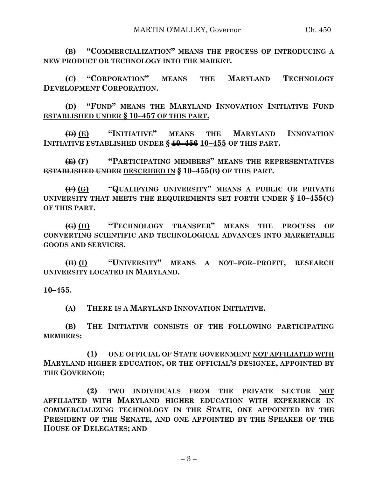**(B) "COMMERCIALIZATION" MEANS THE PROCESS OF INTRODUCING A NEW PRODUCT OR TECHNOLOGY INTO THE MARKET.**

**(C) "CORPORATION" MEANS THE MARYLAND TECHNOLOGY DEVELOPMENT CORPORATION.**

**(D) "FUND" MEANS THE MARYLAND INNOVATION INITIATIVE FUND ESTABLISHED UNDER § 10–457 OF THIS PART.**

**(D) (E) "INITIATIVE" MEANS THE MARYLAND INNOVATION INITIATIVE ESTABLISHED UNDER § 10–456 10–455 OF THIS PART.**

**(E) (F) "PARTICIPATING MEMBERS" MEANS THE REPRESENTATIVES ESTABLISHED UNDER DESCRIBED IN § 10–455(B) OF THIS PART.**

**(F) (G) "QUALIFYING UNIVERSITY" MEANS A PUBLIC OR PRIVATE UNIVERSITY THAT MEETS THE REQUIREMENTS SET FORTH UNDER § 10–455(C) OF THIS PART.**

**(G) (H) "TECHNOLOGY TRANSFER" MEANS THE PROCESS OF CONVERTING SCIENTIFIC AND TECHNOLOGICAL ADVANCES INTO MARKETABLE GOODS AND SERVICES.**

**(H) (I) "UNIVERSITY" MEANS A NOT–FOR–PROFIT, RESEARCH UNIVERSITY LOCATED IN MARYLAND.**

**10–455.**

**(A) THERE IS A MARYLAND INNOVATION INITIATIVE.**

**(B) THE INITIATIVE CONSISTS OF THE FOLLOWING PARTICIPATING MEMBERS:**

**(1) ONE OFFICIAL OF STATE GOVERNMENT NOT AFFILIATED WITH MARYLAND HIGHER EDUCATION, OR THE OFFICIAL'S DESIGNEE, APPOINTED BY THE GOVERNOR;**

**(2) TWO INDIVIDUALS FROM THE PRIVATE SECTOR NOT AFFILIATED WITH MARYLAND HIGHER EDUCATION WITH EXPERIENCE IN COMMERCIALIZING TECHNOLOGY IN THE STATE, ONE APPOINTED BY THE PRESIDENT OF THE SENATE, AND ONE APPOINTED BY THE SPEAKER OF THE HOUSE OF DELEGATES; AND**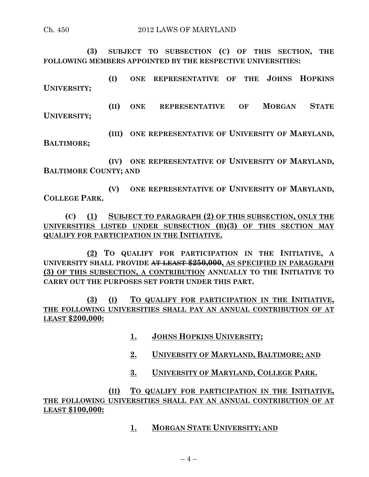**(3) SUBJECT TO SUBSECTION (C) OF THIS SECTION, THE FOLLOWING MEMBERS APPOINTED BY THE RESPECTIVE UNIVERSITIES:**

**(I) ONE REPRESENTATIVE OF THE JOHNS HOPKINS UNIVERSITY;**

**(II) ONE REPRESENTATIVE OF MORGAN STATE UNIVERSITY;**

**(III) ONE REPRESENTATIVE OF UNIVERSITY OF MARYLAND, BALTIMORE;**

**(IV) ONE REPRESENTATIVE OF UNIVERSITY OF MARYLAND, BALTIMORE COUNTY; AND**

**(V) ONE REPRESENTATIVE OF UNIVERSITY OF MARYLAND, COLLEGE PARK.**

**(C) (1) SUBJECT TO PARAGRAPH (2) OF THIS SUBSECTION, ONLY THE UNIVERSITIES LISTED UNDER SUBSECTION (B)(3) OF THIS SECTION MAY QUALIFY FOR PARTICIPATION IN THE INITIATIVE.**

**(2) TO QUALIFY FOR PARTICIPATION IN THE INITIATIVE, A UNIVERSITY SHALL PROVIDE AT LEAST \$250,000, AS SPECIFIED IN PARAGRAPH (3) OF THIS SUBSECTION, A CONTRIBUTION ANNUALLY TO THE INITIATIVE TO CARRY OUT THE PURPOSES SET FORTH UNDER THIS PART.**

**(3) (I) TO QUALIFY FOR PARTICIPATION IN THE INITIATIVE, THE FOLLOWING UNIVERSITIES SHALL PAY AN ANNUAL CONTRIBUTION OF AT LEAST \$200,000:**

- **1. JOHNS HOPKINS UNIVERSITY;**
- **2. UNIVERSITY OF MARYLAND, BALTIMORE; AND**
- **3. UNIVERSITY OF MARYLAND, COLLEGE PARK.**

**(II) TO QUALIFY FOR PARTICIPATION IN THE INITIATIVE, THE FOLLOWING UNIVERSITIES SHALL PAY AN ANNUAL CONTRIBUTION OF AT LEAST \$100,000:**

**1. MORGAN STATE UNIVERSITY; AND**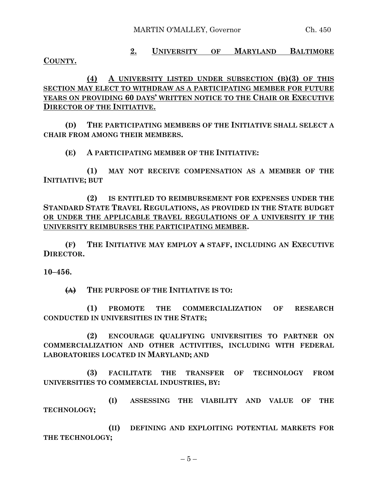MARTIN O'MALLEY, Governor Ch. 450

**COUNTY.**

**2. UNIVERSITY OF MARYLAND BALTIMORE** 

**(4) A UNIVERSITY LISTED UNDER SUBSECTION (B)(3) OF THIS SECTION MAY ELECT TO WITHDRAW AS A PARTICIPATING MEMBER FOR FUTURE YEARS ON PROVIDING 60 DAYS' WRITTEN NOTICE TO THE CHAIR OR EXECUTIVE DIRECTOR OF THE INITIATIVE.**

**(D) THE PARTICIPATING MEMBERS OF THE INITIATIVE SHALL SELECT A CHAIR FROM AMONG THEIR MEMBERS.**

**(E) A PARTICIPATING MEMBER OF THE INITIATIVE:**

**(1) MAY NOT RECEIVE COMPENSATION AS A MEMBER OF THE INITIATIVE; BUT**

**(2) IS ENTITLED TO REIMBURSEMENT FOR EXPENSES UNDER THE STANDARD STATE TRAVEL REGULATIONS, AS PROVIDED IN THE STATE BUDGET OR UNDER THE APPLICABLE TRAVEL REGULATIONS OF A UNIVERSITY IF THE UNIVERSITY REIMBURSES THE PARTICIPATING MEMBER.**

**(F) THE INITIATIVE MAY EMPLOY A STAFF, INCLUDING AN EXECUTIVE DIRECTOR.**

**10–456.**

**(A) THE PURPOSE OF THE INITIATIVE IS TO:**

**(1) PROMOTE THE COMMERCIALIZATION OF RESEARCH CONDUCTED IN UNIVERSITIES IN THE STATE;**

**(2) ENCOURAGE QUALIFYING UNIVERSITIES TO PARTNER ON COMMERCIALIZATION AND OTHER ACTIVITIES, INCLUDING WITH FEDERAL LABORATORIES LOCATED IN MARYLAND; AND**

**(3) FACILITATE THE TRANSFER OF TECHNOLOGY FROM UNIVERSITIES TO COMMERCIAL INDUSTRIES, BY:**

**(I) ASSESSING THE VIABILITY AND VALUE OF THE TECHNOLOGY;**

**(II) DEFINING AND EXPLOITING POTENTIAL MARKETS FOR THE TECHNOLOGY;**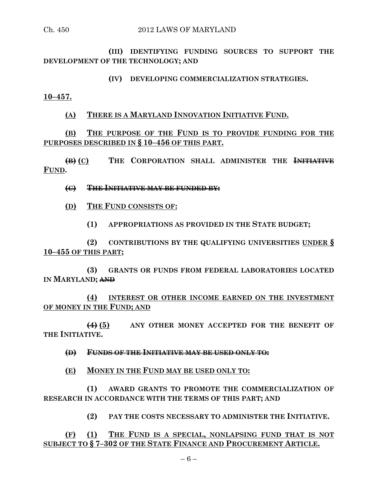**(III) IDENTIFYING FUNDING SOURCES TO SUPPORT THE DEVELOPMENT OF THE TECHNOLOGY; AND**

**(IV) DEVELOPING COMMERCIALIZATION STRATEGIES.**

**10–457.**

**(A) THERE IS A MARYLAND INNOVATION INITIATIVE FUND.**

**(B) THE PURPOSE OF THE FUND IS TO PROVIDE FUNDING FOR THE PURPOSES DESCRIBED IN § 10–456 OF THIS PART.**

**(B) (C) THE CORPORATION SHALL ADMINISTER THE INITIATIVE FUND.**

**(C) THE INITIATIVE MAY BE FUNDED BY:**

**(D) THE FUND CONSISTS OF:**

**(1) APPROPRIATIONS AS PROVIDED IN THE STATE BUDGET;**

**(2) CONTRIBUTIONS BY THE QUALIFYING UNIVERSITIES UNDER § 10–455 OF THIS PART;**

**(3) GRANTS OR FUNDS FROM FEDERAL LABORATORIES LOCATED IN MARYLAND; AND**

**(4) INTEREST OR OTHER INCOME EARNED ON THE INVESTMENT OF MONEY IN THE FUND; AND**

**(4) (5) ANY OTHER MONEY ACCEPTED FOR THE BENEFIT OF THE INITIATIVE.**

**(D) FUNDS OF THE INITIATIVE MAY BE USED ONLY TO:**

**(E) MONEY IN THE FUND MAY BE USED ONLY TO:**

**(1) AWARD GRANTS TO PROMOTE THE COMMERCIALIZATION OF RESEARCH IN ACCORDANCE WITH THE TERMS OF THIS PART; AND**

**(2) PAY THE COSTS NECESSARY TO ADMINISTER THE INITIATIVE.**

**(F) (1) THE FUND IS A SPECIAL, NONLAPSING FUND THAT IS NOT SUBJECT TO § 7–302 OF THE STATE FINANCE AND PROCUREMENT ARTICLE.**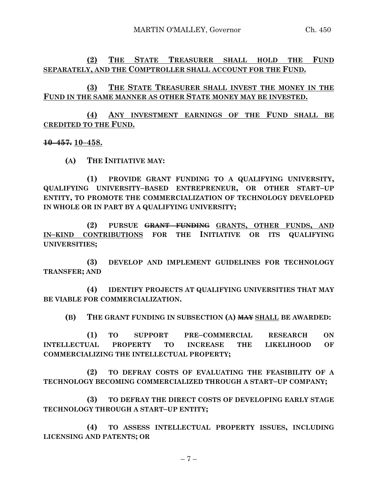**(2) THE STATE TREASURER SHALL HOLD THE FUND SEPARATELY, AND THE COMPTROLLER SHALL ACCOUNT FOR THE FUND.**

**(3) THE STATE TREASURER SHALL INVEST THE MONEY IN THE FUND IN THE SAME MANNER AS OTHER STATE MONEY MAY BE INVESTED.**

**(4) ANY INVESTMENT EARNINGS OF THE FUND SHALL BE CREDITED TO THE FUND.**

**10–457. 10–458.**

**(A) THE INITIATIVE MAY:**

**(1) PROVIDE GRANT FUNDING TO A QUALIFYING UNIVERSITY, QUALIFYING UNIVERSITY–BASED ENTREPRENEUR, OR OTHER START–UP ENTITY, TO PROMOTE THE COMMERCIALIZATION OF TECHNOLOGY DEVELOPED IN WHOLE OR IN PART BY A QUALIFYING UNIVERSITY;**

**(2) PURSUE GRANT FUNDING GRANTS, OTHER FUNDS, AND IN–KIND CONTRIBUTIONS FOR THE INITIATIVE OR ITS QUALIFYING UNIVERSITIES;**

**(3) DEVELOP AND IMPLEMENT GUIDELINES FOR TECHNOLOGY TRANSFER; AND**

**(4) IDENTIFY PROJECTS AT QUALIFYING UNIVERSITIES THAT MAY BE VIABLE FOR COMMERCIALIZATION.**

**(B) THE GRANT FUNDING IN SUBSECTION (A) MAY SHALL BE AWARDED:**

**(1) TO SUPPORT PRE–COMMERCIAL RESEARCH ON INTELLECTUAL PROPERTY TO INCREASE THE LIKELIHOOD OF COMMERCIALIZING THE INTELLECTUAL PROPERTY;**

**(2) TO DEFRAY COSTS OF EVALUATING THE FEASIBILITY OF A TECHNOLOGY BECOMING COMMERCIALIZED THROUGH A START–UP COMPANY;**

**(3) TO DEFRAY THE DIRECT COSTS OF DEVELOPING EARLY STAGE TECHNOLOGY THROUGH A START–UP ENTITY;**

**(4) TO ASSESS INTELLECTUAL PROPERTY ISSUES, INCLUDING LICENSING AND PATENTS; OR**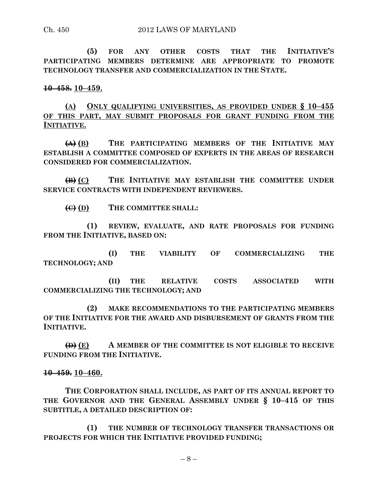**(5) FOR ANY OTHER COSTS THAT THE INITIATIVE'S PARTICIPATING MEMBERS DETERMINE ARE APPROPRIATE TO PROMOTE TECHNOLOGY TRANSFER AND COMMERCIALIZATION IN THE STATE.**

**10–458. 10–459.**

**(A) ONLY QUALIFYING UNIVERSITIES, AS PROVIDED UNDER § 10–455 OF THIS PART, MAY SUBMIT PROPOSALS FOR GRANT FUNDING FROM THE INITIATIVE.**

**(A) (B) THE PARTICIPATING MEMBERS OF THE INITIATIVE MAY ESTABLISH A COMMITTEE COMPOSED OF EXPERTS IN THE AREAS OF RESEARCH CONSIDERED FOR COMMERCIALIZATION.**

**(B) (C) THE INITIATIVE MAY ESTABLISH THE COMMITTEE UNDER SERVICE CONTRACTS WITH INDEPENDENT REVIEWERS.**

**(C) (D) THE COMMITTEE SHALL:**

**(1) REVIEW, EVALUATE, AND RATE PROPOSALS FOR FUNDING FROM THE INITIATIVE, BASED ON:**

**(I) THE VIABILITY OF COMMERCIALIZING THE TECHNOLOGY; AND**

**(II) THE RELATIVE COSTS ASSOCIATED WITH COMMERCIALIZING THE TECHNOLOGY; AND**

**(2) MAKE RECOMMENDATIONS TO THE PARTICIPATING MEMBERS OF THE INITIATIVE FOR THE AWARD AND DISBURSEMENT OF GRANTS FROM THE INITIATIVE.**

**(D) (E) A MEMBER OF THE COMMITTEE IS NOT ELIGIBLE TO RECEIVE FUNDING FROM THE INITIATIVE.**

### **10–459. 10–460.**

**THE CORPORATION SHALL INCLUDE, AS PART OF ITS ANNUAL REPORT TO THE GOVERNOR AND THE GENERAL ASSEMBLY UNDER § 10–415 OF THIS SUBTITLE, A DETAILED DESCRIPTION OF:**

**(1) THE NUMBER OF TECHNOLOGY TRANSFER TRANSACTIONS OR PROJECTS FOR WHICH THE INITIATIVE PROVIDED FUNDING;**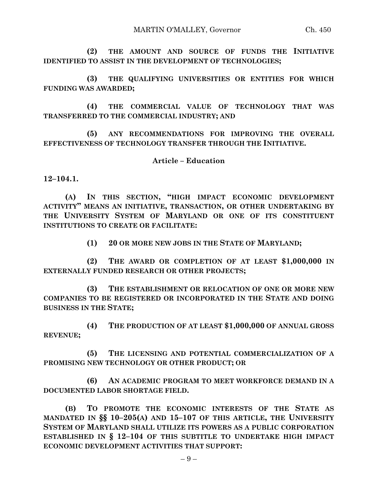**(2) THE AMOUNT AND SOURCE OF FUNDS THE INITIATIVE IDENTIFIED TO ASSIST IN THE DEVELOPMENT OF TECHNOLOGIES;**

**(3) THE QUALIFYING UNIVERSITIES OR ENTITIES FOR WHICH FUNDING WAS AWARDED;**

**(4) THE COMMERCIAL VALUE OF TECHNOLOGY THAT WAS TRANSFERRED TO THE COMMERCIAL INDUSTRY; AND**

**(5) ANY RECOMMENDATIONS FOR IMPROVING THE OVERALL EFFECTIVENESS OF TECHNOLOGY TRANSFER THROUGH THE INITIATIVE.**

### **Article – Education**

**12–104.1.**

**(A) IN THIS SECTION, "HIGH IMPACT ECONOMIC DEVELOPMENT ACTIVITY" MEANS AN INITIATIVE, TRANSACTION, OR OTHER UNDERTAKING BY THE UNIVERSITY SYSTEM OF MARYLAND OR ONE OF ITS CONSTITUENT INSTITUTIONS TO CREATE OR FACILITATE:**

**(1) 20 OR MORE NEW JOBS IN THE STATE OF MARYLAND;**

**(2) THE AWARD OR COMPLETION OF AT LEAST \$1,000,000 IN EXTERNALLY FUNDED RESEARCH OR OTHER PROJECTS;**

**(3) THE ESTABLISHMENT OR RELOCATION OF ONE OR MORE NEW COMPANIES TO BE REGISTERED OR INCORPORATED IN THE STATE AND DOING BUSINESS IN THE STATE;**

**(4) THE PRODUCTION OF AT LEAST \$1,000,000 OF ANNUAL GROSS REVENUE;**

**(5) THE LICENSING AND POTENTIAL COMMERCIALIZATION OF A PROMISING NEW TECHNOLOGY OR OTHER PRODUCT; OR**

**(6) AN ACADEMIC PROGRAM TO MEET WORKFORCE DEMAND IN A DOCUMENTED LABOR SHORTAGE FIELD.**

**(B) TO PROMOTE THE ECONOMIC INTERESTS OF THE STATE AS MANDATED IN §§ 10–205(A) AND 15–107 OF THIS ARTICLE, THE UNIVERSITY SYSTEM OF MARYLAND SHALL UTILIZE ITS POWERS AS A PUBLIC CORPORATION ESTABLISHED IN § 12–104 OF THIS SUBTITLE TO UNDERTAKE HIGH IMPACT ECONOMIC DEVELOPMENT ACTIVITIES THAT SUPPORT:**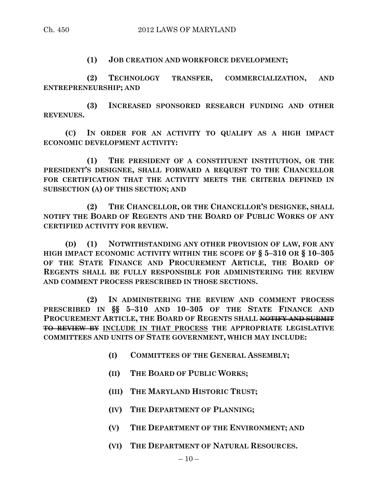**(1) JOB CREATION AND WORKFORCE DEVELOPMENT;**

**(2) TECHNOLOGY TRANSFER, COMMERCIALIZATION, AND ENTREPRENEURSHIP; AND**

**(3) INCREASED SPONSORED RESEARCH FUNDING AND OTHER REVENUES.**

**(C) IN ORDER FOR AN ACTIVITY TO QUALIFY AS A HIGH IMPACT ECONOMIC DEVELOPMENT ACTIVITY:**

**(1) THE PRESIDENT OF A CONSTITUENT INSTITUTION, OR THE PRESIDENT'S DESIGNEE, SHALL FORWARD A REQUEST TO THE CHANCELLOR FOR CERTIFICATION THAT THE ACTIVITY MEETS THE CRITERIA DEFINED IN SUBSECTION (A) OF THIS SECTION; AND**

**(2) THE CHANCELLOR, OR THE CHANCELLOR'S DESIGNEE, SHALL NOTIFY THE BOARD OF REGENTS AND THE BOARD OF PUBLIC WORKS OF ANY CERTIFIED ACTIVITY FOR REVIEW.**

**(D) (1) NOTWITHSTANDING ANY OTHER PROVISION OF LAW, FOR ANY HIGH IMPACT ECONOMIC ACTIVITY WITHIN THE SCOPE OF § 5–310 OR § 10–305 OF THE STATE FINANCE AND PROCUREMENT ARTICLE, THE BOARD OF REGENTS SHALL BE FULLY RESPONSIBLE FOR ADMINISTERING THE REVIEW AND COMMENT PROCESS PRESCRIBED IN THOSE SECTIONS.**

**(2) IN ADMINISTERING THE REVIEW AND COMMENT PROCESS PRESCRIBED IN §§ 5–310 AND 10–305 OF THE STATE FINANCE AND PROCUREMENT ARTICLE, THE BOARD OF REGENTS SHALL NOTIFY AND SUBMIT TO REVIEW BY INCLUDE IN THAT PROCESS THE APPROPRIATE LEGISLATIVE COMMITTEES AND UNITS OF STATE GOVERNMENT, WHICH MAY INCLUDE:**

- **(I) COMMITTEES OF THE GENERAL ASSEMBLY;**
- **(II) THE BOARD OF PUBLIC WORKS;**
- **(III) THE MARYLAND HISTORIC TRUST;**
- **(IV) THE DEPARTMENT OF PLANNING;**
- **(V) THE DEPARTMENT OF THE ENVIRONMENT; AND**
- **(VI) THE DEPARTMENT OF NATURAL RESOURCES.**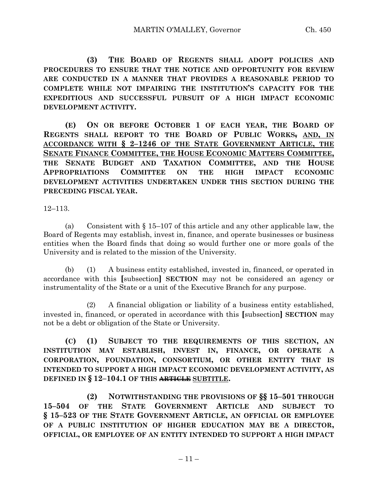**(3) THE BOARD OF REGENTS SHALL ADOPT POLICIES AND PROCEDURES TO ENSURE THAT THE NOTICE AND OPPORTUNITY FOR REVIEW ARE CONDUCTED IN A MANNER THAT PROVIDES A REASONABLE PERIOD TO COMPLETE WHILE NOT IMPAIRING THE INSTITUTION'S CAPACITY FOR THE EXPEDITIOUS AND SUCCESSFUL PURSUIT OF A HIGH IMPACT ECONOMIC DEVELOPMENT ACTIVITY.**

**(E) ON OR BEFORE OCTOBER 1 OF EACH YEAR, THE BOARD OF REGENTS SHALL REPORT TO THE BOARD OF PUBLIC WORKS, AND, IN ACCORDANCE WITH § 2–1246 OF THE STATE GOVERNMENT ARTICLE, THE SENATE FINANCE COMMITTEE, THE HOUSE ECONOMIC MATTERS COMMITTEE, THE SENATE BUDGET AND TAXATION COMMITTEE, AND THE HOUSE APPROPRIATIONS COMMITTEE ON THE HIGH IMPACT ECONOMIC DEVELOPMENT ACTIVITIES UNDERTAKEN UNDER THIS SECTION DURING THE PRECEDING FISCAL YEAR.**

12–113.

(a) Consistent with § 15–107 of this article and any other applicable law, the Board of Regents may establish, invest in, finance, and operate businesses or business entities when the Board finds that doing so would further one or more goals of the University and is related to the mission of the University.

(b) (1) A business entity established, invested in, financed, or operated in accordance with this **[**subsection**] SECTION** may not be considered an agency or instrumentality of the State or a unit of the Executive Branch for any purpose.

(2) A financial obligation or liability of a business entity established, invested in, financed, or operated in accordance with this **[**subsection**] SECTION** may not be a debt or obligation of the State or University.

**(C) (1) SUBJECT TO THE REQUIREMENTS OF THIS SECTION, AN INSTITUTION MAY ESTABLISH, INVEST IN, FINANCE, OR OPERATE A CORPORATION, FOUNDATION, CONSORTIUM, OR OTHER ENTITY THAT IS INTENDED TO SUPPORT A HIGH IMPACT ECONOMIC DEVELOPMENT ACTIVITY, AS DEFINED IN § 12–104.1 OF THIS ARTICLE SUBTITLE.**

**(2) NOTWITHSTANDING THE PROVISIONS OF §§ 15–501 THROUGH 15–504 OF THE STATE GOVERNMENT ARTICLE AND SUBJECT TO § 15–523 OF THE STATE GOVERNMENT ARTICLE, AN OFFICIAL OR EMPLOYEE OF A PUBLIC INSTITUTION OF HIGHER EDUCATION MAY BE A DIRECTOR, OFFICIAL, OR EMPLOYEE OF AN ENTITY INTENDED TO SUPPORT A HIGH IMPACT**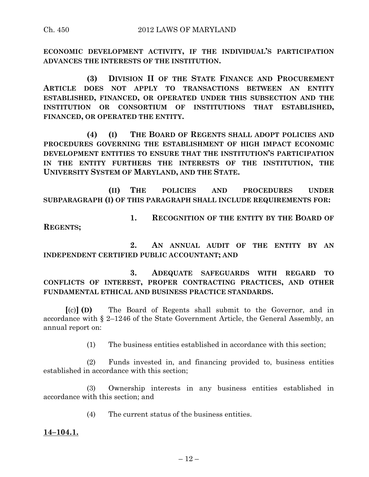**ECONOMIC DEVELOPMENT ACTIVITY, IF THE INDIVIDUAL'S PARTICIPATION ADVANCES THE INTERESTS OF THE INSTITUTION.**

**(3) DIVISION II OF THE STATE FINANCE AND PROCUREMENT ARTICLE DOES NOT APPLY TO TRANSACTIONS BETWEEN AN ENTITY ESTABLISHED, FINANCED, OR OPERATED UNDER THIS SUBSECTION AND THE INSTITUTION OR CONSORTIUM OF INSTITUTIONS THAT ESTABLISHED, FINANCED, OR OPERATED THE ENTITY.**

**(4) (I) THE BOARD OF REGENTS SHALL ADOPT POLICIES AND PROCEDURES GOVERNING THE ESTABLISHMENT OF HIGH IMPACT ECONOMIC DEVELOPMENT ENTITIES TO ENSURE THAT THE INSTITUTION'S PARTICIPATION IN THE ENTITY FURTHERS THE INTERESTS OF THE INSTITUTION, THE UNIVERSITY SYSTEM OF MARYLAND, AND THE STATE.**

**(II) THE POLICIES AND PROCEDURES UNDER SUBPARAGRAPH (I) OF THIS PARAGRAPH SHALL INCLUDE REQUIREMENTS FOR:**

**1. RECOGNITION OF THE ENTITY BY THE BOARD OF REGENTS;**

**2. AN ANNUAL AUDIT OF THE ENTITY BY AN INDEPENDENT CERTIFIED PUBLIC ACCOUNTANT; AND**

**3. ADEQUATE SAFEGUARDS WITH REGARD TO CONFLICTS OF INTEREST, PROPER CONTRACTING PRACTICES, AND OTHER FUNDAMENTAL ETHICAL AND BUSINESS PRACTICE STANDARDS.**

**[**(c)**] (D)** The Board of Regents shall submit to the Governor, and in accordance with § 2–1246 of the State Government Article, the General Assembly, an annual report on:

(1) The business entities established in accordance with this section;

(2) Funds invested in, and financing provided to, business entities established in accordance with this section;

(3) Ownership interests in any business entities established in accordance with this section; and

(4) The current status of the business entities.

**14–104.1.**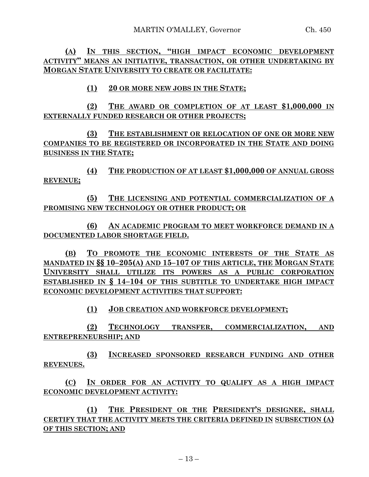**(A) IN THIS SECTION, "HIGH IMPACT ECONOMIC DEVELOPMENT ACTIVITY" MEANS AN INITIATIVE, TRANSACTION, OR OTHER UNDERTAKING BY MORGAN STATE UNIVERSITY TO CREATE OR FACILITATE:**

**(1) 20 OR MORE NEW JOBS IN THE STATE;**

**(2) THE AWARD OR COMPLETION OF AT LEAST \$1,000,000 IN EXTERNALLY FUNDED RESEARCH OR OTHER PROJECTS;**

**(3) THE ESTABLISHMENT OR RELOCATION OF ONE OR MORE NEW COMPANIES TO BE REGISTERED OR INCORPORATED IN THE STATE AND DOING BUSINESS IN THE STATE;**

**(4) THE PRODUCTION OF AT LEAST \$1,000,000 OF ANNUAL GROSS REVENUE;**

**(5) THE LICENSING AND POTENTIAL COMMERCIALIZATION OF A PROMISING NEW TECHNOLOGY OR OTHER PRODUCT; OR**

**(6) AN ACADEMIC PROGRAM TO MEET WORKFORCE DEMAND IN A DOCUMENTED LABOR SHORTAGE FIELD.**

**(B) TO PROMOTE THE ECONOMIC INTERESTS OF THE STATE AS MANDATED IN §§ 10–205(A) AND 15–107 OF THIS ARTICLE, THE MORGAN STATE UNIVERSITY SHALL UTILIZE ITS POWERS AS A PUBLIC CORPORATION ESTABLISHED IN § 14–104 OF THIS SUBTITLE TO UNDERTAKE HIGH IMPACT ECONOMIC DEVELOPMENT ACTIVITIES THAT SUPPORT:**

**(1) JOB CREATION AND WORKFORCE DEVELOPMENT;**

**(2) TECHNOLOGY TRANSFER, COMMERCIALIZATION, AND ENTREPRENEURSHIP; AND**

**(3) INCREASED SPONSORED RESEARCH FUNDING AND OTHER REVENUES.**

**(C) IN ORDER FOR AN ACTIVITY TO QUALIFY AS A HIGH IMPACT ECONOMIC DEVELOPMENT ACTIVITY:**

**(1) THE PRESIDENT OR THE PRESIDENT'S DESIGNEE, SHALL CERTIFY THAT THE ACTIVITY MEETS THE CRITERIA DEFINED IN SUBSECTION (A) OF THIS SECTION; AND**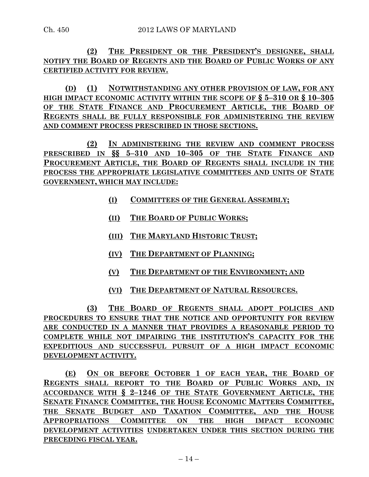**(2) THE PRESIDENT OR THE PRESIDENT'S DESIGNEE, SHALL NOTIFY THE BOARD OF REGENTS AND THE BOARD OF PUBLIC WORKS OF ANY CERTIFIED ACTIVITY FOR REVIEW.**

**(D) (1) NOTWITHSTANDING ANY OTHER PROVISION OF LAW, FOR ANY HIGH IMPACT ECONOMIC ACTIVITY WITHIN THE SCOPE OF § 5–310 OR § 10–305 OF THE STATE FINANCE AND PROCUREMENT ARTICLE, THE BOARD OF REGENTS SHALL BE FULLY RESPONSIBLE FOR ADMINISTERING THE REVIEW AND COMMENT PROCESS PRESCRIBED IN THOSE SECTIONS.**

**(2) IN ADMINISTERING THE REVIEW AND COMMENT PROCESS PRESCRIBED IN §§ 5–310 AND 10–305 OF THE STATE FINANCE AND PROCUREMENT ARTICLE, THE BOARD OF REGENTS SHALL INCLUDE IN THE PROCESS THE APPROPRIATE LEGISLATIVE COMMITTEES AND UNITS OF STATE GOVERNMENT, WHICH MAY INCLUDE:**

- **(I) COMMITTEES OF THE GENERAL ASSEMBLY;**
- **(II) THE BOARD OF PUBLIC WORKS;**
- **(III) THE MARYLAND HISTORIC TRUST;**
- **(IV) THE DEPARTMENT OF PLANNING;**
- **(V) THE DEPARTMENT OF THE ENVIRONMENT; AND**
- **(VI) THE DEPARTMENT OF NATURAL RESOURCES.**

**(3) THE BOARD OF REGENTS SHALL ADOPT POLICIES AND PROCEDURES TO ENSURE THAT THE NOTICE AND OPPORTUNITY FOR REVIEW ARE CONDUCTED IN A MANNER THAT PROVIDES A REASONABLE PERIOD TO COMPLETE WHILE NOT IMPAIRING THE INSTITUTION'S CAPACITY FOR THE EXPEDITIOUS AND SUCCESSFUL PURSUIT OF A HIGH IMPACT ECONOMIC DEVELOPMENT ACTIVITY.**

**(E) ON OR BEFORE OCTOBER 1 OF EACH YEAR, THE BOARD OF REGENTS SHALL REPORT TO THE BOARD OF PUBLIC WORKS AND, IN ACCORDANCE WITH § 2–1246 OF THE STATE GOVERNMENT ARTICLE, THE SENATE FINANCE COMMITTEE, THE HOUSE ECONOMIC MATTERS COMMITTEE, THE SENATE BUDGET AND TAXATION COMMITTEE, AND THE HOUSE APPROPRIATIONS COMMITTEE ON THE HIGH IMPACT ECONOMIC DEVELOPMENT ACTIVITIES UNDERTAKEN UNDER THIS SECTION DURING THE PRECEDING FISCAL YEAR.**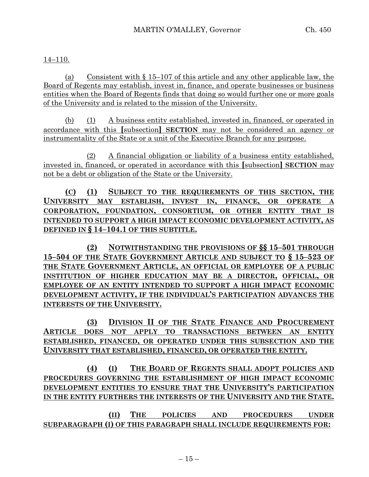## 14–110.

(a) Consistent with § 15–107 of this article and any other applicable law, the Board of Regents may establish, invest in, finance, and operate businesses or business entities when the Board of Regents finds that doing so would further one or more goals of the University and is related to the mission of the University.

(b) (1) A business entity established, invested in, financed, or operated in accordance with this **[**subsection**] SECTION** may not be considered an agency or instrumentality of the State or a unit of the Executive Branch for any purpose.

(2) A financial obligation or liability of a business entity established, invested in, financed, or operated in accordance with this **[**subsection**] SECTION** may not be a debt or obligation of the State or the University.

**(C) (1) SUBJECT TO THE REQUIREMENTS OF THIS SECTION, THE UNIVERSITY MAY ESTABLISH, INVEST IN, FINANCE, OR OPERATE A CORPORATION, FOUNDATION, CONSORTIUM, OR OTHER ENTITY THAT IS INTENDED TO SUPPORT A HIGH IMPACT ECONOMIC DEVELOPMENT ACTIVITY, AS DEFINED IN § 14–104.1 OF THIS SUBTITLE.**

**(2) NOTWITHSTANDING THE PROVISIONS OF §§ 15–501 THROUGH 15–504 OF THE STATE GOVERNMENT ARTICLE AND SUBJECT TO § 15–523 OF THE STATE GOVERNMENT ARTICLE, AN OFFICIAL OR EMPLOYEE OF A PUBLIC INSTITUTION OF HIGHER EDUCATION MAY BE A DIRECTOR, OFFICIAL, OR EMPLOYEE OF AN ENTITY INTENDED TO SUPPORT A HIGH IMPACT ECONOMIC DEVELOPMENT ACTIVITY, IF THE INDIVIDUAL'S PARTICIPATION ADVANCES THE INTERESTS OF THE UNIVERSITY.**

**(3) DIVISION II OF THE STATE FINANCE AND PROCUREMENT ARTICLE DOES NOT APPLY TO TRANSACTIONS BETWEEN AN ENTITY ESTABLISHED, FINANCED, OR OPERATED UNDER THIS SUBSECTION AND THE UNIVERSITY THAT ESTABLISHED, FINANCED, OR OPERATED THE ENTITY.**

**(4) (I) THE BOARD OF REGENTS SHALL ADOPT POLICIES AND PROCEDURES GOVERNING THE ESTABLISHMENT OF HIGH IMPACT ECONOMIC DEVELOPMENT ENTITIES TO ENSURE THAT THE UNIVERSITY'S PARTICIPATION IN THE ENTITY FURTHERS THE INTERESTS OF THE UNIVERSITY AND THE STATE.**

**(II) THE POLICIES AND PROCEDURES UNDER SUBPARAGRAPH (I) OF THIS PARAGRAPH SHALL INCLUDE REQUIREMENTS FOR:**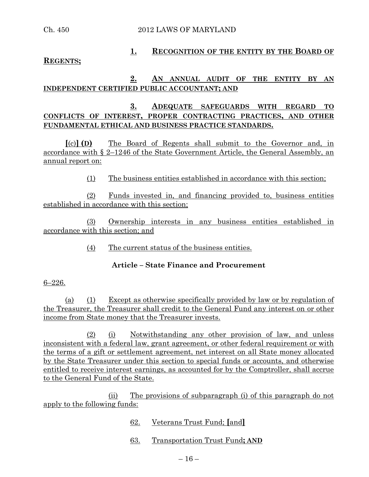Ch. 450 2012 LAWS OF MARYLAND

# **1. RECOGNITION OF THE ENTITY BY THE BOARD OF**

#### **REGENTS;**

### **2. AN ANNUAL AUDIT OF THE ENTITY BY AN INDEPENDENT CERTIFIED PUBLIC ACCOUNTANT; AND**

## **3. ADEQUATE SAFEGUARDS WITH REGARD TO CONFLICTS OF INTEREST, PROPER CONTRACTING PRACTICES, AND OTHER FUNDAMENTAL ETHICAL AND BUSINESS PRACTICE STANDARDS.**

**[**(c)**] (D)** The Board of Regents shall submit to the Governor and, in accordance with § 2–1246 of the State Government Article, the General Assembly, an annual report on:

(1) The business entities established in accordance with this section;

(2) Funds invested in, and financing provided to, business entities established in accordance with this section;

(3) Ownership interests in any business entities established in accordance with this section; and

(4) The current status of the business entities.

### **Article – State Finance and Procurement**

#### 6–226.

(a) (1) Except as otherwise specifically provided by law or by regulation of the Treasurer, the Treasurer shall credit to the General Fund any interest on or other income from State money that the Treasurer invests.

(2) (i) Notwithstanding any other provision of law, and unless inconsistent with a federal law, grant agreement, or other federal requirement or with the terms of a gift or settlement agreement, net interest on all State money allocated by the State Treasurer under this section to special funds or accounts, and otherwise entitled to receive interest earnings, as accounted for by the Comptroller, shall accrue to the General Fund of the State.

(ii) The provisions of subparagraph (i) of this paragraph do not apply to the following funds:

- 62. Veterans Trust Fund; **[**and**]**
- 63. Transportation Trust Fund**; AND**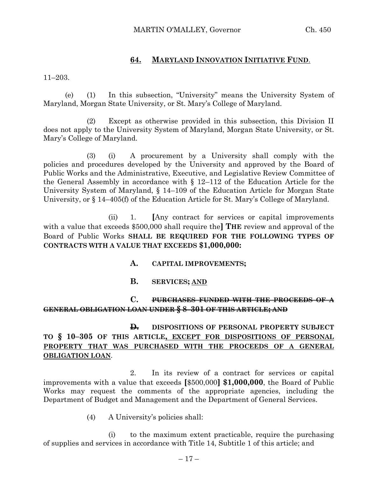### **64. MARYLAND INNOVATION INITIATIVE FUND**.

11–203.

(e) (1) In this subsection, "University" means the University System of Maryland, Morgan State University, or St. Mary's College of Maryland.

(2) Except as otherwise provided in this subsection, this Division II does not apply to the University System of Maryland, Morgan State University, or St. Mary's College of Maryland.

(3) (i) A procurement by a University shall comply with the policies and procedures developed by the University and approved by the Board of Public Works and the Administrative, Executive, and Legislative Review Committee of the General Assembly in accordance with § 12–112 of the Education Article for the University System of Maryland, § 14–109 of the Education Article for Morgan State University, or § 14–405(f) of the Education Article for St. Mary's College of Maryland.

(ii) 1. **[**Any contract for services or capital improvements with a value that exceeds \$500,000 shall require the**] THE** review and approval of the Board of Public Works **SHALL BE REQUIRED FOR THE FOLLOWING TYPES OF CONTRACTS WITH A VALUE THAT EXCEEDS \$1,000,000:**

- **A. CAPITAL IMPROVEMENTS;**
- **B. SERVICES; AND**

## **C. PURCHASES FUNDED WITH THE PROCEEDS OF A GENERAL OBLIGATION LOAN UNDER § 8–301 OF THIS ARTICLE; AND**

**D.** DISPOSITIONS OF PERSONAL PROPERTY SUBJECT **TO § 10–305 OF THIS ARTICLE, EXCEPT FOR DISPOSITIONS OF PERSONAL PROPERTY THAT WAS PURCHASED WITH THE PROCEEDS OF A GENERAL OBLIGATION LOAN**.

2. In its review of a contract for services or capital improvements with a value that exceeds **[**\$500,000**] \$1,000,000**, the Board of Public Works may request the comments of the appropriate agencies, including the Department of Budget and Management and the Department of General Services.

(4) A University's policies shall:

(i) to the maximum extent practicable, require the purchasing of supplies and services in accordance with Title 14, Subtitle 1 of this article; and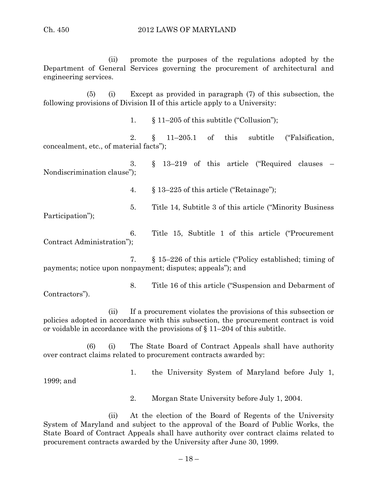(ii) promote the purposes of the regulations adopted by the Department of General Services governing the procurement of architectural and engineering services.

(5) (i) Except as provided in paragraph (7) of this subsection, the following provisions of Division II of this article apply to a University:

1. § 11–205 of this subtitle ("Collusion");

2. § 11–205.1 of this subtitle ("Falsification, concealment, etc., of material facts");

3. § 13–219 of this article ("Required clauses – Nondiscrimination clause");

4. § 13–225 of this article ("Retainage");

5. Title 14, Subtitle 3 of this article ("Minority Business

Participation");

6. Title 15, Subtitle 1 of this article ("Procurement Contract Administration");

7. § 15–226 of this article ("Policy established; timing of payments; notice upon nonpayment; disputes; appeals"); and

8. Title 16 of this article ("Suspension and Debarment of Contractors").

(ii) If a procurement violates the provisions of this subsection or policies adopted in accordance with this subsection, the procurement contract is void or voidable in accordance with the provisions of  $\S 11-204$  of this subtitle.

(6) (i) The State Board of Contract Appeals shall have authority over contract claims related to procurement contracts awarded by:

1. the University System of Maryland before July 1,

1999; and

2. Morgan State University before July 1, 2004.

(ii) At the election of the Board of Regents of the University System of Maryland and subject to the approval of the Board of Public Works, the State Board of Contract Appeals shall have authority over contract claims related to procurement contracts awarded by the University after June 30, 1999.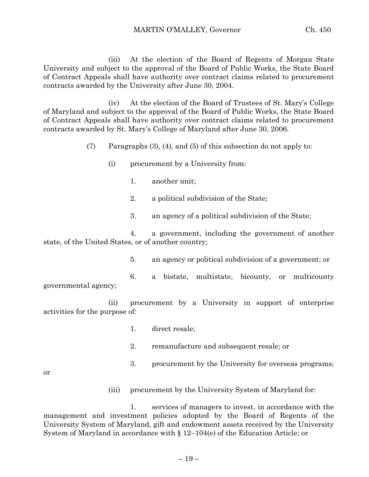(iii) At the election of the Board of Regents of Morgan State University and subject to the approval of the Board of Public Works, the State Board of Contract Appeals shall have authority over contract claims related to procurement contracts awarded by the University after June 30, 2004.

(iv) At the election of the Board of Trustees of St. Mary's College of Maryland and subject to the approval of the Board of Public Works, the State Board of Contract Appeals shall have authority over contract claims related to procurement contracts awarded by St. Mary's College of Maryland after June 30, 2006.

(7) Paragraphs (3), (4), and (5) of this subsection do not apply to:

- (i) procurement by a University from:
	- 1. another unit;
	- 2. a political subdivision of the State;
	- 3. an agency of a political subdivision of the State;

4. a government, including the government of another state, of the United States, or of another country;

5. an agency or political subdivision of a government; or

6. a bistate, multistate, bicounty, or multicounty governmental agency;

(ii) procurement by a University in support of enterprise activities for the purpose of:

- 1. direct resale;
- 2. remanufacture and subsequent resale; or
- 3. procurement by the University for overseas programs;

or

(iii) procurement by the University System of Maryland for:

1. services of managers to invest, in accordance with the management and investment policies adopted by the Board of Regents of the University System of Maryland, gift and endowment assets received by the University System of Maryland in accordance with § 12–104(e) of the Education Article; or